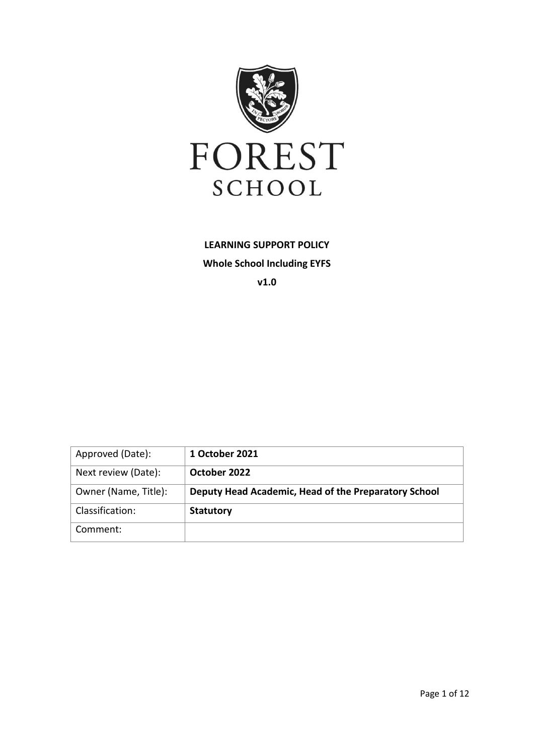

**LEARNING SUPPORT POLICY Whole School Including EYFS v1.0**

| Approved (Date):     | 1 October 2021                                       |
|----------------------|------------------------------------------------------|
| Next review (Date):  | October 2022                                         |
| Owner (Name, Title): | Deputy Head Academic, Head of the Preparatory School |
| Classification:      | <b>Statutory</b>                                     |
| Comment:             |                                                      |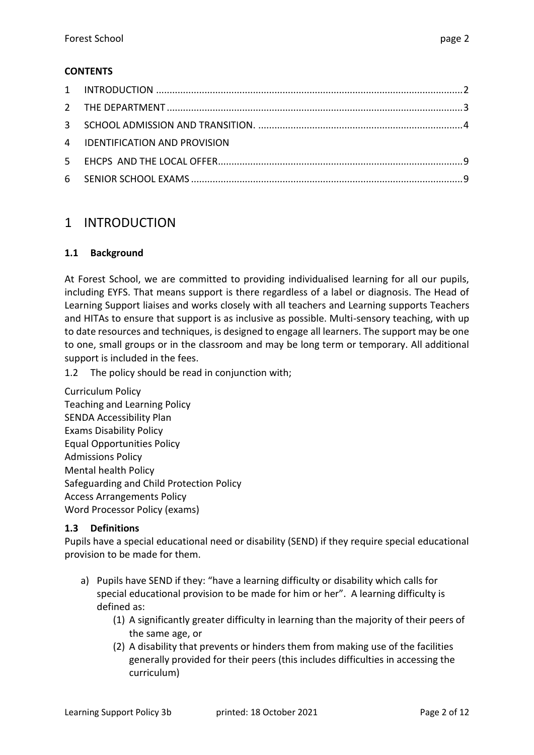#### **CONTENTS**

| 4 IDENTIFICATION AND PROVISION |  |
|--------------------------------|--|
|                                |  |
|                                |  |
|                                |  |

# <span id="page-1-0"></span>1 INTRODUCTION

#### **1.1 Background**

At Forest School, we are committed to providing individualised learning for all our pupils, including EYFS. That means support is there regardless of a label or diagnosis. The Head of Learning Support liaises and works closely with all teachers and Learning supports Teachers and HITAs to ensure that support is as inclusive as possible. Multi-sensory teaching, with up to date resources and techniques, is designed to engage all learners. The support may be one to one, small groups or in the classroom and may be long term or temporary. All additional support is included in the fees.

1.2 The policy should be read in conjunction with;

Curriculum Policy Teaching and Learning Policy SENDA Accessibility Plan Exams Disability Policy Equal Opportunities Policy Admissions Policy Mental health Policy Safeguarding and Child Protection Policy Access Arrangements Policy Word Processor Policy (exams)

#### **1.3 Definitions**

Pupils have a special educational need or disability (SEND) if they require special educational provision to be made for them.

- a) Pupils have SEND if they: "have a learning difficulty or disability which calls for special educational provision to be made for him or her". A learning difficulty is defined as:
	- (1) A significantly greater difficulty in learning than the majority of their peers of the same age, or
	- (2) A disability that prevents or hinders them from making use of the facilities generally provided for their peers (this includes difficulties in accessing the curriculum)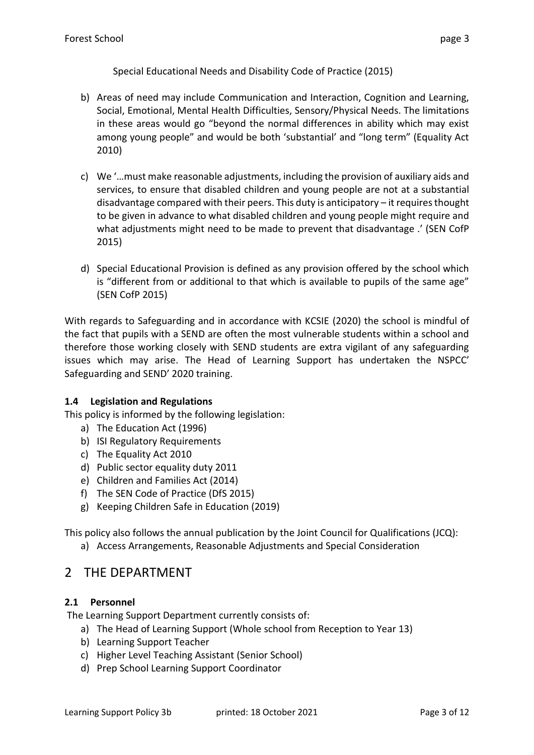Special Educational Needs and Disability Code of Practice (2015)

- b) Areas of need may include Communication and Interaction, Cognition and Learning, Social, Emotional, Mental Health Difficulties, Sensory/Physical Needs. The limitations in these areas would go "beyond the normal differences in ability which may exist among young people" and would be both 'substantial' and "long term" (Equality Act 2010)
- c) We '…must make reasonable adjustments, including the provision of auxiliary aids and services, to ensure that disabled children and young people are not at a substantial disadvantage compared with their peers. This duty is anticipatory – it requires thought to be given in advance to what disabled children and young people might require and what adjustments might need to be made to prevent that disadvantage .' (SEN CofP 2015)
- d) Special Educational Provision is defined as any provision offered by the school which is "different from or additional to that which is available to pupils of the same age" (SEN CofP 2015)

With regards to Safeguarding and in accordance with KCSIE (2020) the school is mindful of the fact that pupils with a SEND are often the most vulnerable students within a school and therefore those working closely with SEND students are extra vigilant of any safeguarding issues which may arise. The Head of Learning Support has undertaken the NSPCC' Safeguarding and SEND' 2020 training.

#### **1.4 Legislation and Regulations**

This policy is informed by the following legislation:

- a) The Education Act (1996)
- b) ISI Regulatory Requirements
- c) The Equality Act 2010
- d) Public sector equality duty 2011
- e) Children and Families Act (2014)
- f) The SEN Code of Practice (DfS 2015)
- g) Keeping Children Safe in Education (2019)
- This policy also follows the annual publication by the Joint Council for Qualifications (JCQ):
	- a) Access Arrangements, Reasonable Adjustments and Special Consideration

# <span id="page-2-0"></span>2 THE DEPARTMENT

#### **2.1 Personnel**

The Learning Support Department currently consists of:

- a) The Head of Learning Support (Whole school from Reception to Year 13)
- b) Learning Support Teacher
- c) Higher Level Teaching Assistant (Senior School)
- d) Prep School Learning Support Coordinator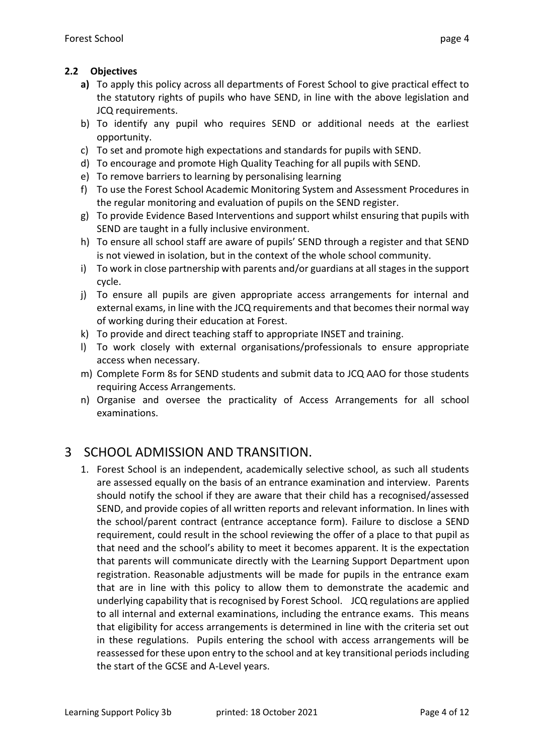#### **2.2 Objectives**

- **a)** To apply this policy across all departments of Forest School to give practical effect to the statutory rights of pupils who have SEND, in line with the above legislation and JCQ requirements.
- b) To identify any pupil who requires SEND or additional needs at the earliest opportunity.
- c) To set and promote high expectations and standards for pupils with SEND.
- d) To encourage and promote High Quality Teaching for all pupils with SEND.
- e) To remove barriers to learning by personalising learning
- f) To use the Forest School Academic Monitoring System and Assessment Procedures in the regular monitoring and evaluation of pupils on the SEND register.
- g) To provide Evidence Based Interventions and support whilst ensuring that pupils with SEND are taught in a fully inclusive environment.
- h) To ensure all school staff are aware of pupils' SEND through a register and that SEND is not viewed in isolation, but in the context of the whole school community.
- i) To work in close partnership with parents and/or guardians at all stages in the support cycle.
- j) To ensure all pupils are given appropriate access arrangements for internal and external exams, in line with the JCQ requirements and that becomes their normal way of working during their education at Forest.
- k) To provide and direct teaching staff to appropriate INSET and training.
- l) To work closely with external organisations/professionals to ensure appropriate access when necessary.
- m) Complete Form 8s for SEND students and submit data to JCQ AAO for those students requiring Access Arrangements.
- n) Organise and oversee the practicality of Access Arrangements for all school examinations.

# <span id="page-3-0"></span>3 SCHOOL ADMISSION AND TRANSITION.

1. Forest School is an independent, academically selective school, as such all students are assessed equally on the basis of an entrance examination and interview. Parents should notify the school if they are aware that their child has a recognised/assessed SEND, and provide copies of all written reports and relevant information. In lines with the school/parent contract (entrance acceptance form). Failure to disclose a SEND requirement, could result in the school reviewing the offer of a place to that pupil as that need and the school's ability to meet it becomes apparent. It is the expectation that parents will communicate directly with the Learning Support Department upon registration. Reasonable adjustments will be made for pupils in the entrance exam that are in line with this policy to allow them to demonstrate the academic and underlying capability that is recognised by Forest School. JCQ regulations are applied to all internal and external examinations, including the entrance exams. This means that eligibility for access arrangements is determined in line with the criteria set out in these regulations. Pupils entering the school with access arrangements will be reassessed for these upon entry to the school and at key transitional periods including the start of the GCSE and A-Level years.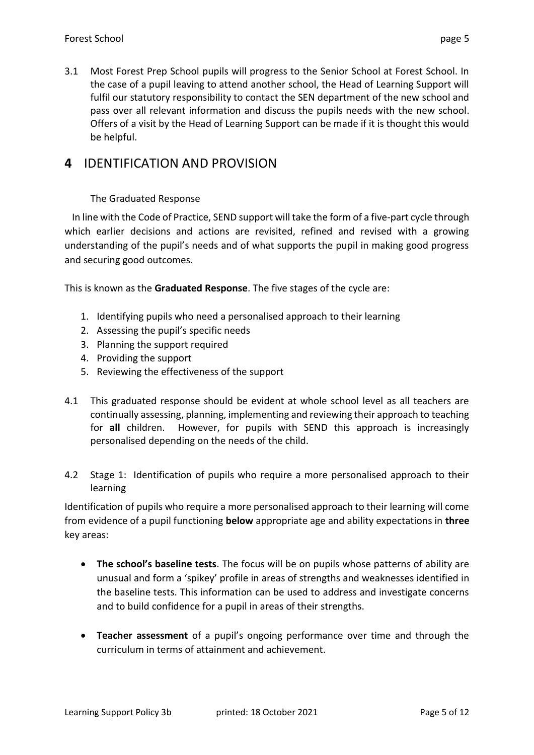3.1 Most Forest Prep School pupils will progress to the Senior School at Forest School. In the case of a pupil leaving to attend another school, the Head of Learning Support will fulfil our statutory responsibility to contact the SEN department of the new school and pass over all relevant information and discuss the pupils needs with the new school. Offers of a visit by the Head of Learning Support can be made if it is thought this would be helpful.

# **4** IDENTIFICATION AND PROVISION

## The Graduated Response

 In line with the Code of Practice, SEND support will take the form of a five-part cycle through which earlier decisions and actions are revisited, refined and revised with a growing understanding of the pupil's needs and of what supports the pupil in making good progress and securing good outcomes.

This is known as the **Graduated Response**. The five stages of the cycle are:

- 1. Identifying pupils who need a personalised approach to their learning
- 2. Assessing the pupil's specific needs
- 3. Planning the support required
- 4. Providing the support
- 5. Reviewing the effectiveness of the support
- 4.1 This graduated response should be evident at whole school level as all teachers are continually assessing, planning, implementing and reviewing their approach to teaching for **all** children. However, for pupils with SEND this approach is increasingly personalised depending on the needs of the child.
- 4.2 Stage 1: Identification of pupils who require a more personalised approach to their learning

Identification of pupils who require a more personalised approach to their learning will come from evidence of a pupil functioning **below** appropriate age and ability expectations in **three**  key areas:

- **The school's baseline tests**. The focus will be on pupils whose patterns of ability are unusual and form a 'spikey' profile in areas of strengths and weaknesses identified in the baseline tests. This information can be used to address and investigate concerns and to build confidence for a pupil in areas of their strengths.
- **Teacher assessment** of a pupil's ongoing performance over time and through the curriculum in terms of attainment and achievement.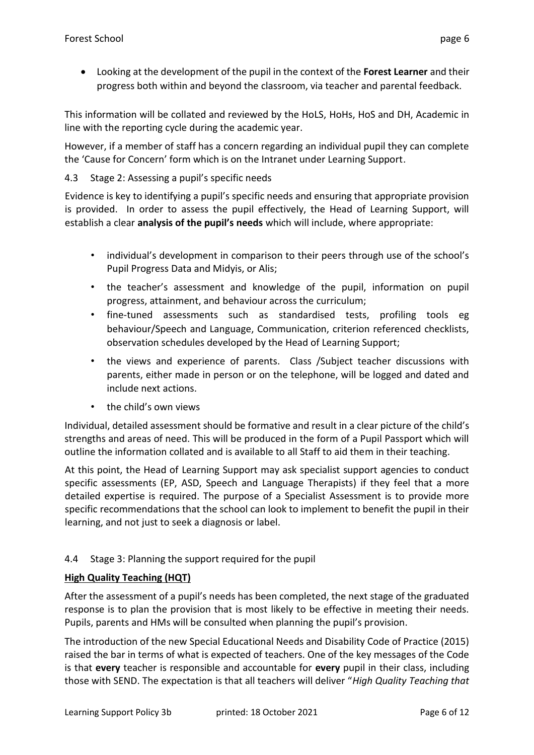• Looking at the development of the pupil in the context of the **Forest Learner** and their progress both within and beyond the classroom, via teacher and parental feedback.

This information will be collated and reviewed by the HoLS, HoHs, HoS and DH, Academic in line with the reporting cycle during the academic year.

However, if a member of staff has a concern regarding an individual pupil they can complete the 'Cause for Concern' form which is on the Intranet under Learning Support.

## 4.3 Stage 2: Assessing a pupil's specific needs

Evidence is key to identifying a pupil's specific needs and ensuring that appropriate provision is provided. In order to assess the pupil effectively, the Head of Learning Support, will establish a clear **analysis of the pupil's needs** which will include, where appropriate:

- individual's development in comparison to their peers through use of the school's Pupil Progress Data and Midyis, or Alis;
- the teacher's assessment and knowledge of the pupil, information on pupil progress, attainment, and behaviour across the curriculum;
- fine-tuned assessments such as standardised tests, profiling tools eg behaviour/Speech and Language, Communication, criterion referenced checklists, observation schedules developed by the Head of Learning Support;
- the views and experience of parents. Class /Subject teacher discussions with parents, either made in person or on the telephone, will be logged and dated and include next actions.
- the child's own views

Individual, detailed assessment should be formative and result in a clear picture of the child's strengths and areas of need. This will be produced in the form of a Pupil Passport which will outline the information collated and is available to all Staff to aid them in their teaching.

At this point, the Head of Learning Support may ask specialist support agencies to conduct specific assessments (EP, ASD, Speech and Language Therapists) if they feel that a more detailed expertise is required. The purpose of a Specialist Assessment is to provide more specific recommendations that the school can look to implement to benefit the pupil in their learning, and not just to seek a diagnosis or label.

# 4.4 Stage 3: Planning the support required for the pupil

#### **High Quality Teaching (HQT)**

After the assessment of a pupil's needs has been completed, the next stage of the graduated response is to plan the provision that is most likely to be effective in meeting their needs. Pupils, parents and HMs will be consulted when planning the pupil's provision.

The introduction of the new Special Educational Needs and Disability Code of Practice (2015) raised the bar in terms of what is expected of teachers. One of the key messages of the Code is that **every** teacher is responsible and accountable for **every** pupil in their class, including those with SEND. The expectation is that all teachers will deliver "*High Quality Teaching that*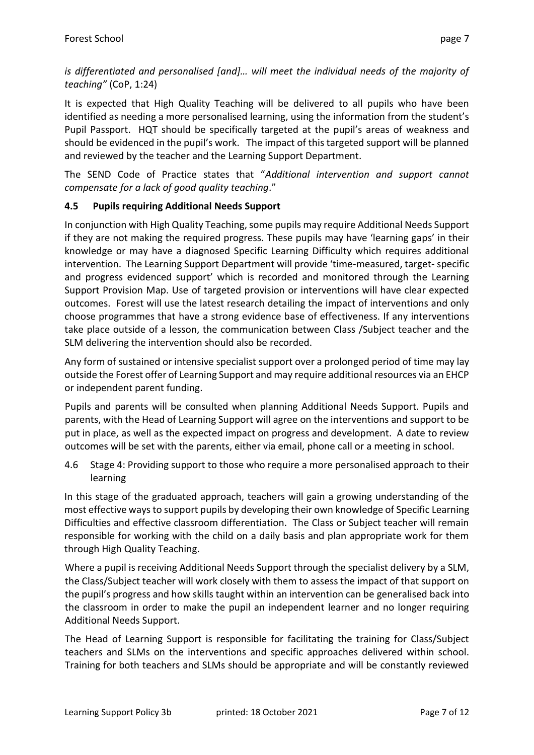is differentiated and personalised [and]... will meet the individual needs of the majority of *teaching"* (CoP, 1:24)

It is expected that High Quality Teaching will be delivered to all pupils who have been identified as needing a more personalised learning, using the information from the student's Pupil Passport. HQT should be specifically targeted at the pupil's areas of weakness and should be evidenced in the pupil's work. The impact of this targeted support will be planned and reviewed by the teacher and the Learning Support Department.

The SEND Code of Practice states that "*Additional intervention and support cannot compensate for a lack of good quality teaching*."

# **4.5 Pupils requiring Additional Needs Support**

In conjunction with High Quality Teaching, some pupils may require Additional Needs Support if they are not making the required progress. These pupils may have 'learning gaps' in their knowledge or may have a diagnosed Specific Learning Difficulty which requires additional intervention. The Learning Support Department will provide 'time-measured, target- specific and progress evidenced support' which is recorded and monitored through the Learning Support Provision Map. Use of targeted provision or interventions will have clear expected outcomes. Forest will use the latest research detailing the impact of interventions and only choose programmes that have a strong evidence base of effectiveness. If any interventions take place outside of a lesson, the communication between Class /Subject teacher and the SLM delivering the intervention should also be recorded.

Any form of sustained or intensive specialist support over a prolonged period of time may lay outside the Forest offer of Learning Support and may require additional resources via an EHCP or independent parent funding.

Pupils and parents will be consulted when planning Additional Needs Support. Pupils and parents, with the Head of Learning Support will agree on the interventions and support to be put in place, as well as the expected impact on progress and development. A date to review outcomes will be set with the parents, either via email, phone call or a meeting in school.

4.6 Stage 4: Providing support to those who require a more personalised approach to their learning

In this stage of the graduated approach, teachers will gain a growing understanding of the most effective ways to support pupils by developing their own knowledge of Specific Learning Difficulties and effective classroom differentiation. The Class or Subject teacher will remain responsible for working with the child on a daily basis and plan appropriate work for them through High Quality Teaching.

Where a pupil is receiving Additional Needs Support through the specialist delivery by a SLM, the Class/Subject teacher will work closely with them to assess the impact of that support on the pupil's progress and how skills taught within an intervention can be generalised back into the classroom in order to make the pupil an independent learner and no longer requiring Additional Needs Support.

The Head of Learning Support is responsible for facilitating the training for Class/Subject teachers and SLMs on the interventions and specific approaches delivered within school. Training for both teachers and SLMs should be appropriate and will be constantly reviewed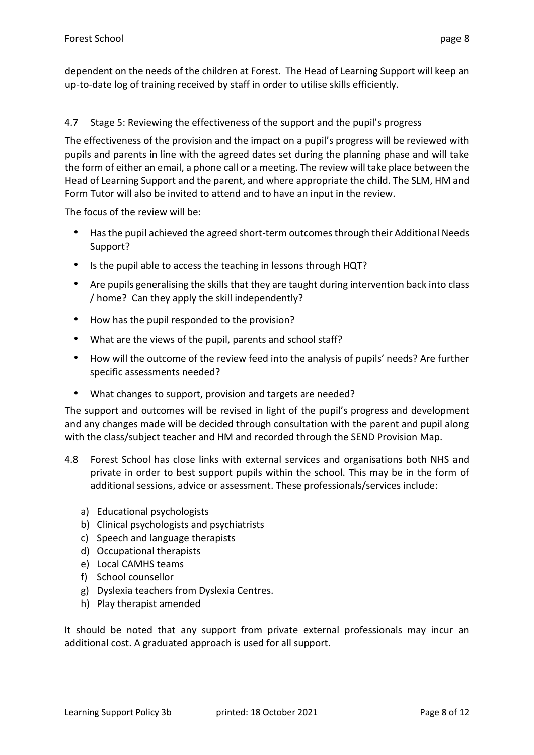dependent on the needs of the children at Forest. The Head of Learning Support will keep an up-to-date log of training received by staff in order to utilise skills efficiently.

## 4.7 Stage 5: Reviewing the effectiveness of the support and the pupil's progress

The effectiveness of the provision and the impact on a pupil's progress will be reviewed with pupils and parents in line with the agreed dates set during the planning phase and will take the form of either an email, a phone call or a meeting. The review will take place between the Head of Learning Support and the parent, and where appropriate the child. The SLM, HM and Form Tutor will also be invited to attend and to have an input in the review.

The focus of the review will be:

- Has the pupil achieved the agreed short-term outcomes through their Additional Needs Support?
- Is the pupil able to access the teaching in lessons through HQT?
- Are pupils generalising the skills that they are taught during intervention back into class / home? Can they apply the skill independently?
- How has the pupil responded to the provision?
- What are the views of the pupil, parents and school staff?
- How will the outcome of the review feed into the analysis of pupils' needs? Are further specific assessments needed?
- What changes to support, provision and targets are needed?

The support and outcomes will be revised in light of the pupil's progress and development and any changes made will be decided through consultation with the parent and pupil along with the class/subject teacher and HM and recorded through the SEND Provision Map.

- 4.8 Forest School has close links with external services and organisations both NHS and private in order to best support pupils within the school. This may be in the form of additional sessions, advice or assessment. These professionals/services include:
	- a) Educational psychologists
	- b) Clinical psychologists and psychiatrists
	- c) Speech and language therapists
	- d) Occupational therapists
	- e) Local CAMHS teams
	- f) School counsellor
	- g) Dyslexia teachers from Dyslexia Centres.
	- h) Play therapist amended

It should be noted that any support from private external professionals may incur an additional cost. A graduated approach is used for all support.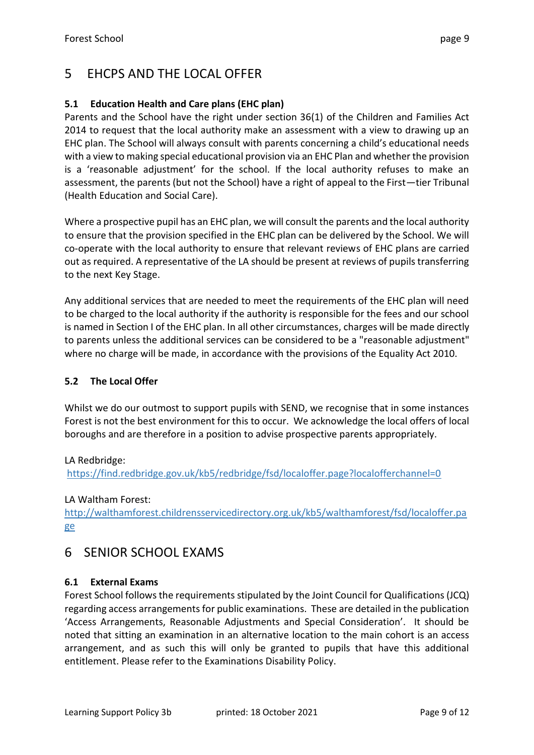# <span id="page-8-0"></span>5 EHCPS AND THE LOCAL OFFER

# **5.1 Education Health and Care plans (EHC plan)**

Parents and the School have the right under section 36(1) of the Children and Families Act 2014 to request that the local authority make an assessment with a view to drawing up an EHC plan. The School will always consult with parents concerning a child's educational needs with a view to making special educational provision via an EHC Plan and whether the provision is a 'reasonable adjustment' for the school. If the local authority refuses to make an assessment, the parents (but not the School) have a right of appeal to the First—tier Tribunal (Health Education and Social Care).

Where a prospective pupil has an EHC plan, we will consult the parents and the local authority to ensure that the provision specified in the EHC plan can be delivered by the School. We will co-operate with the local authority to ensure that relevant reviews of EHC plans are carried out as required. A representative of the LA should be present at reviews of pupils transferring to the next Key Stage.

Any additional services that are needed to meet the requirements of the EHC plan will need to be charged to the local authority if the authority is responsible for the fees and our school is named in Section I of the EHC plan. In all other circumstances, charges will be made directly to parents unless the additional services can be considered to be a "reasonable adjustment" where no charge will be made, in accordance with the provisions of the Equality Act 2010.

## **5.2 The Local Offer**

Whilst we do our outmost to support pupils with SEND, we recognise that in some instances Forest is not the best environment for this to occur. We acknowledge the local offers of local boroughs and are therefore in a position to advise prospective parents appropriately.

#### LA Redbridge:

<https://find.redbridge.gov.uk/kb5/redbridge/fsd/localoffer.page?localofferchannel=0>

LA Waltham Forest:

[http://walthamforest.childrensservicedirectory.org.uk/kb5/walthamforest/fsd/localoffer.pa](http://walthamforest.childrensservicedirectory.org.uk/kb5/walthamforest/fsd/localoffer.page) [ge](http://walthamforest.childrensservicedirectory.org.uk/kb5/walthamforest/fsd/localoffer.page)

# <span id="page-8-1"></span>6 SENIOR SCHOOL EXAMS

# **6.1 External Exams**

Forest School follows the requirements stipulated by the Joint Council for Qualifications (JCQ) regarding access arrangements for public examinations. These are detailed in the publication 'Access Arrangements, Reasonable Adjustments and Special Consideration'. It should be noted that sitting an examination in an alternative location to the main cohort is an access arrangement, and as such this will only be granted to pupils that have this additional entitlement. Please refer to the Examinations Disability Policy.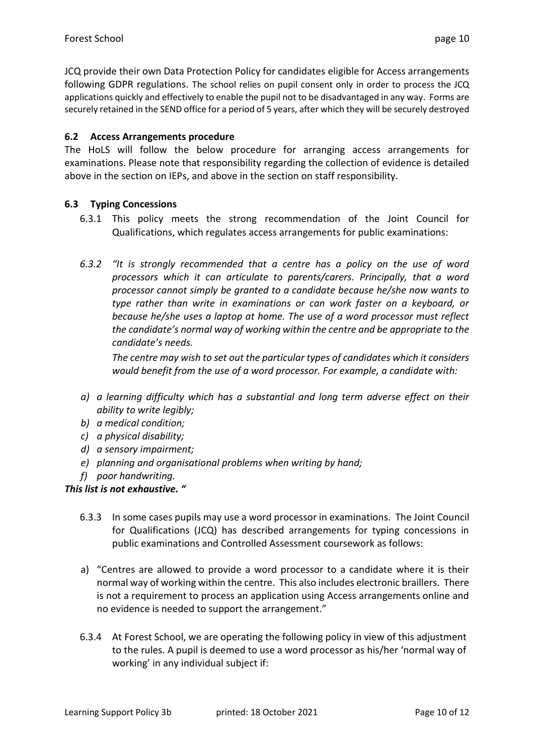JCQ provide their own Data Protection Policy for candidates eligible for Access arrangements following GDPR regulations. The school relies on pupil consent only in order to process the JCQ applications quickly and effectively to enable the pupil not to be disadvantaged in any way. Forms are securely retained in the SEND office for a period of 5 years, after which they will be securely destroyed

## **6.2 Access Arrangements procedure**

The HoLS will follow the below procedure for arranging access arrangements for examinations. Please note that responsibility regarding the collection of evidence is detailed above in the section on IEPs, and above in the section on staff responsibility.

## **6.3 Typing Concessions**

- 6.3.1 This policy meets the strong recommendation of the Joint Council for Qualifications, which regulates access arrangements for public examinations:
- *6.3.2 "It is strongly recommended that a centre has a policy on the use of word processors which it can articulate to parents/carers. Principally, that a word processor cannot simply be granted to a candidate because he/she now wants to type rather than write in examinations or can work faster on a keyboard, or because he/she uses a laptop at home. The use of a word processor must reflect the candidate's normal way of working within the centre and be appropriate to the candidate's needs.*

*The centre may wish to set out the particular types of candidates which it considers would benefit from the use of a word processor. For example, a candidate with:* 

- *a) a learning difficulty which has a substantial and long term adverse effect on their ability to write legibly;*
- *b) a medical condition;*
- *c) a physical disability;*
- *d) a sensory impairment;*
- *e) planning and organisational problems when writing by hand;*
- *f) poor handwriting.*

#### *This list is not exhaustive. "*

- 6.3.3 In some cases pupils may use a word processor in examinations. The Joint Council for Qualifications (JCQ) has described arrangements for typing concessions in public examinations and Controlled Assessment coursework as follows:
- a) "Centres are allowed to provide a word processor to a candidate where it is their normal way of working within the centre. This also includes electronic braillers. There is not a requirement to process an application using Access arrangements online and no evidence is needed to support the arrangement."
- 6.3.4 At Forest School, we are operating the following policy in view of this adjustment to the rules. A pupil is deemed to use a word processor as his/her 'normal way of working' in any individual subject if: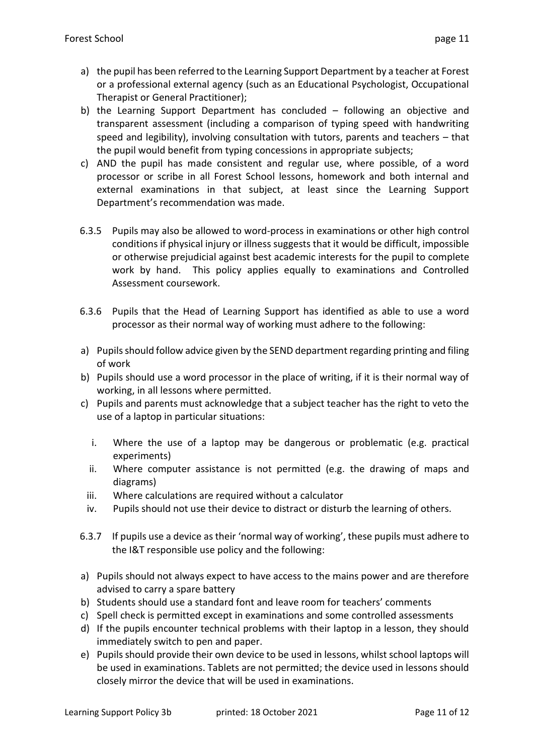- a) the pupil has been referred to the Learning Support Department by a teacher at Forest or a professional external agency (such as an Educational Psychologist, Occupational Therapist or General Practitioner);
- b) the Learning Support Department has concluded following an objective and transparent assessment (including a comparison of typing speed with handwriting speed and legibility), involving consultation with tutors, parents and teachers – that the pupil would benefit from typing concessions in appropriate subjects;
- c) AND the pupil has made consistent and regular use, where possible, of a word processor or scribe in all Forest School lessons, homework and both internal and external examinations in that subject, at least since the Learning Support Department's recommendation was made.
- 6.3.5 Pupils may also be allowed to word-process in examinations or other high control conditions if physical injury or illness suggests that it would be difficult, impossible or otherwise prejudicial against best academic interests for the pupil to complete work by hand. This policy applies equally to examinations and Controlled Assessment coursework.
- 6.3.6 Pupils that the Head of Learning Support has identified as able to use a word processor as their normal way of working must adhere to the following:
- a) Pupils should follow advice given by the SEND department regarding printing and filing of work
- b) Pupils should use a word processor in the place of writing, if it is their normal way of working, in all lessons where permitted.
- c) Pupils and parents must acknowledge that a subject teacher has the right to veto the use of a laptop in particular situations:
	- i. Where the use of a laptop may be dangerous or problematic (e.g. practical experiments)
	- ii. Where computer assistance is not permitted (e.g. the drawing of maps and diagrams)
	- iii. Where calculations are required without a calculator
	- iv. Pupils should not use their device to distract or disturb the learning of others.
- 6.3.7 If pupils use a device as their 'normal way of working', these pupils must adhere to the I&T responsible use policy and the following:
- a) Pupils should not always expect to have access to the mains power and are therefore advised to carry a spare battery
- b) Students should use a standard font and leave room for teachers' comments
- c) Spell check is permitted except in examinations and some controlled assessments
- d) If the pupils encounter technical problems with their laptop in a lesson, they should immediately switch to pen and paper.
- e) Pupils should provide their own device to be used in lessons, whilst school laptops will be used in examinations. Tablets are not permitted; the device used in lessons should closely mirror the device that will be used in examinations.